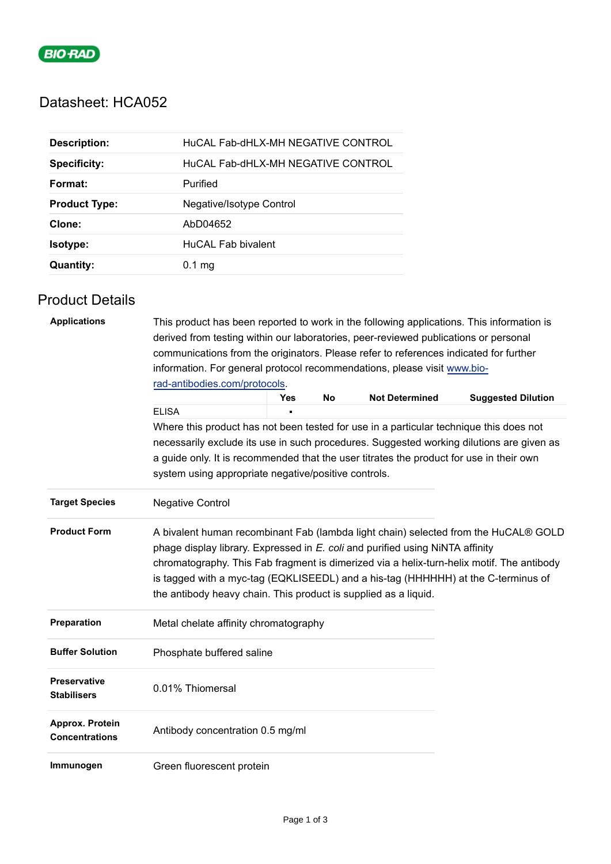

## Datasheet: HCA052

| <b>Description:</b>  | HuCAL Fab-dHLX-MH NEGATIVE CONTROL |
|----------------------|------------------------------------|
| <b>Specificity:</b>  | HuCAL Fab-dHLX-MH NEGATIVE CONTROL |
| Format:              | Purified                           |
| <b>Product Type:</b> | Negative/Isotype Control           |
| Clone:               | AbD04652                           |
| <b>Isotype:</b>      | HuCAL Fab bivalent                 |
| <b>Quantity:</b>     | $0.1$ mg                           |

## Product Details

| <b>Applications</b>                       | This product has been reported to work in the following applications. This information is<br>derived from testing within our laboratories, peer-reviewed publications or personal<br>communications from the originators. Please refer to references indicated for further                                                                                                                                                |     |    |                       |                                                                                          |  |
|-------------------------------------------|---------------------------------------------------------------------------------------------------------------------------------------------------------------------------------------------------------------------------------------------------------------------------------------------------------------------------------------------------------------------------------------------------------------------------|-----|----|-----------------------|------------------------------------------------------------------------------------------|--|
|                                           | information. For general protocol recommendations, please visit www.bio-                                                                                                                                                                                                                                                                                                                                                  |     |    |                       |                                                                                          |  |
|                                           | rad-antibodies.com/protocols.                                                                                                                                                                                                                                                                                                                                                                                             |     |    |                       |                                                                                          |  |
|                                           |                                                                                                                                                                                                                                                                                                                                                                                                                           | Yes | No | <b>Not Determined</b> | <b>Suggested Dilution</b>                                                                |  |
|                                           | <b>ELISA</b>                                                                                                                                                                                                                                                                                                                                                                                                              |     |    |                       |                                                                                          |  |
|                                           | Where this product has not been tested for use in a particular technique this does not                                                                                                                                                                                                                                                                                                                                    |     |    |                       |                                                                                          |  |
|                                           | a guide only. It is recommended that the user titrates the product for use in their own<br>system using appropriate negative/positive controls.                                                                                                                                                                                                                                                                           |     |    |                       | necessarily exclude its use in such procedures. Suggested working dilutions are given as |  |
| <b>Target Species</b>                     | <b>Negative Control</b>                                                                                                                                                                                                                                                                                                                                                                                                   |     |    |                       |                                                                                          |  |
| <b>Product Form</b>                       | A bivalent human recombinant Fab (lambda light chain) selected from the HuCAL® GOLD<br>phage display library. Expressed in E. coli and purified using NiNTA affinity<br>chromatography. This Fab fragment is dimerized via a helix-turn-helix motif. The antibody<br>is tagged with a myc-tag (EQKLISEEDL) and a his-tag (HHHHHH) at the C-terminus of<br>the antibody heavy chain. This product is supplied as a liquid. |     |    |                       |                                                                                          |  |
| Preparation                               | Metal chelate affinity chromatography                                                                                                                                                                                                                                                                                                                                                                                     |     |    |                       |                                                                                          |  |
| <b>Buffer Solution</b>                    | Phosphate buffered saline                                                                                                                                                                                                                                                                                                                                                                                                 |     |    |                       |                                                                                          |  |
| <b>Preservative</b><br><b>Stabilisers</b> | 0.01% Thiomersal                                                                                                                                                                                                                                                                                                                                                                                                          |     |    |                       |                                                                                          |  |
| Approx. Protein<br><b>Concentrations</b>  | Antibody concentration 0.5 mg/ml                                                                                                                                                                                                                                                                                                                                                                                          |     |    |                       |                                                                                          |  |
| Immunogen                                 | Green fluorescent protein                                                                                                                                                                                                                                                                                                                                                                                                 |     |    |                       |                                                                                          |  |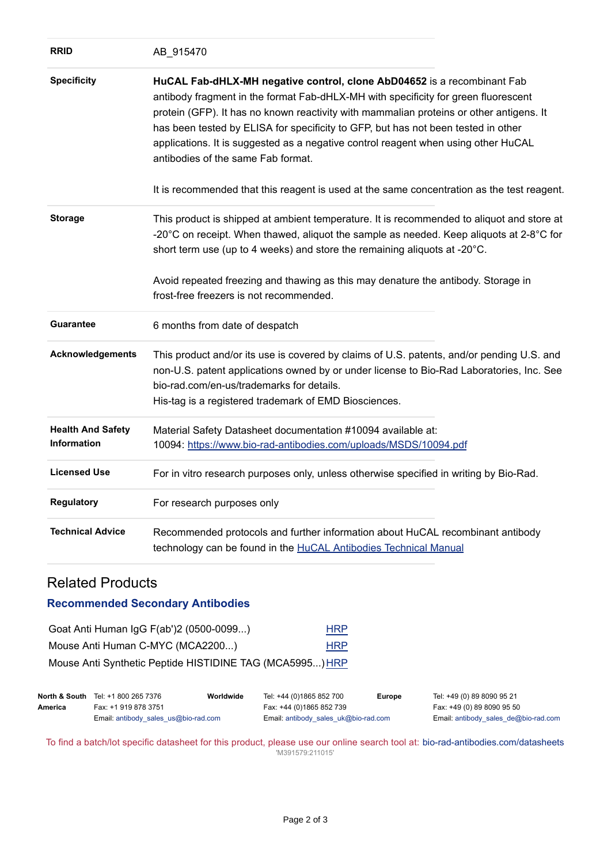| <b>RRID</b>                                    | AB_915470                                                                                                                                                                                                                                                                                                                                                                                                                                                                 |
|------------------------------------------------|---------------------------------------------------------------------------------------------------------------------------------------------------------------------------------------------------------------------------------------------------------------------------------------------------------------------------------------------------------------------------------------------------------------------------------------------------------------------------|
| <b>Specificity</b>                             | HuCAL Fab-dHLX-MH negative control, clone AbD04652 is a recombinant Fab<br>antibody fragment in the format Fab-dHLX-MH with specificity for green fluorescent<br>protein (GFP). It has no known reactivity with mammalian proteins or other antigens. It<br>has been tested by ELISA for specificity to GFP, but has not been tested in other<br>applications. It is suggested as a negative control reagent when using other HuCAL<br>antibodies of the same Fab format. |
|                                                | It is recommended that this reagent is used at the same concentration as the test reagent.                                                                                                                                                                                                                                                                                                                                                                                |
| <b>Storage</b>                                 | This product is shipped at ambient temperature. It is recommended to aliquot and store at<br>-20°C on receipt. When thawed, aliquot the sample as needed. Keep aliquots at 2-8°C for<br>short term use (up to 4 weeks) and store the remaining aliquots at -20°C.<br>Avoid repeated freezing and thawing as this may denature the antibody. Storage in<br>frost-free freezers is not recommended.                                                                         |
| <b>Guarantee</b>                               | 6 months from date of despatch                                                                                                                                                                                                                                                                                                                                                                                                                                            |
| Acknowledgements                               | This product and/or its use is covered by claims of U.S. patents, and/or pending U.S. and<br>non-U.S. patent applications owned by or under license to Bio-Rad Laboratories, Inc. See<br>bio-rad.com/en-us/trademarks for details.<br>His-tag is a registered trademark of EMD Biosciences.                                                                                                                                                                               |
| <b>Health And Safety</b><br><b>Information</b> | Material Safety Datasheet documentation #10094 available at:<br>10094: https://www.bio-rad-antibodies.com/uploads/MSDS/10094.pdf                                                                                                                                                                                                                                                                                                                                          |
| <b>Licensed Use</b>                            | For in vitro research purposes only, unless otherwise specified in writing by Bio-Rad.                                                                                                                                                                                                                                                                                                                                                                                    |
| <b>Regulatory</b>                              | For research purposes only                                                                                                                                                                                                                                                                                                                                                                                                                                                |
| <b>Technical Advice</b>                        | Recommended protocols and further information about HuCAL recombinant antibody<br>technology can be found in the HuCAL Antibodies Technical Manual                                                                                                                                                                                                                                                                                                                        |

## Related Products

## **Recommended Secondary Antibodies**

| Goat Anti Human IgG F(ab')2 (0500-0099)                  | <b>HRP</b> |
|----------------------------------------------------------|------------|
| Mouse Anti Human C-MYC (MCA2200)                         | <b>HRP</b> |
| Mouse Anti Synthetic Peptide HISTIDINE TAG (MCA5995) HRP |            |

|         | <b>North &amp; South</b> Tel: +1 800 265 7376 | Worldwide | Tel: +44 (0)1865 852 700             | Europe | Tel: +49 (0) 89 8090 95 21                    |
|---------|-----------------------------------------------|-----------|--------------------------------------|--------|-----------------------------------------------|
| America | Fax: +1 919 878 3751                          |           | Fax: +44 (0)1865 852 739             |        | Fax: +49 (0) 89 8090 95 50                    |
|         | Email: antibody sales $us@bio-rad.com$        |           | Email: antibody sales uk@bio-rad.com |        | Email: antibody sales $de@bio\text{-}rad.com$ |

To find a batch/lot specific datasheet for this product, please use our online search tool at: [bio-rad-antibodies.com/datasheets](https://bio-rad-antibodies.com/datasheets) 'M391579:211015'